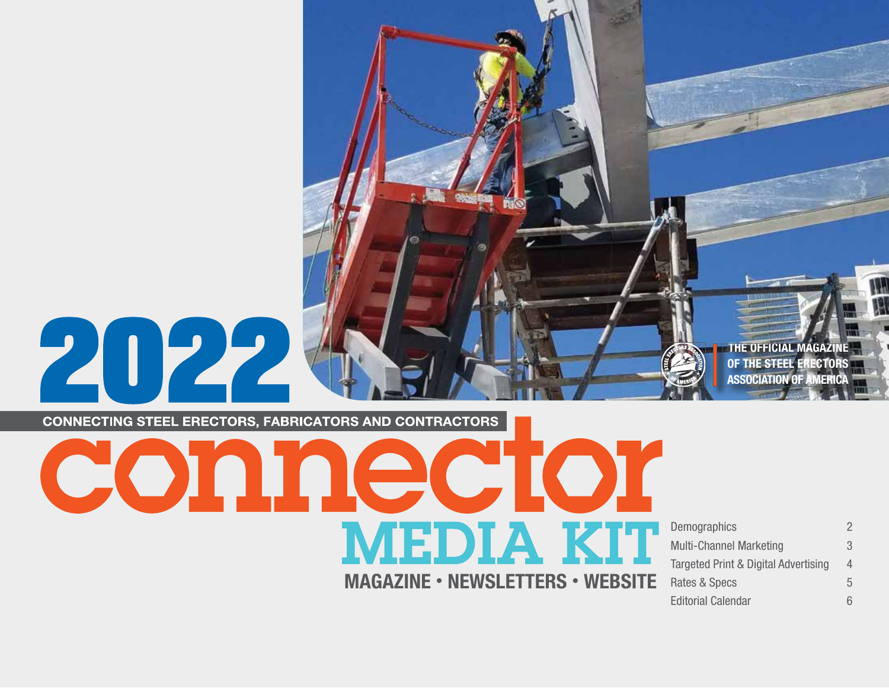

**CONNECTING STEEL ERECTORS, FABRICATORS AND CONTRACTORS** 

 $O(O)$  and  $O(O(O))$ **MEDIA KIT** MAGAZINE • NEWSLETTERS • WEBSITE

Demographics 2 Multi-Channel Marketing 3 Targeted Print & Digital Advertising 4 Rates & Specs 5 Editorial Calendar 6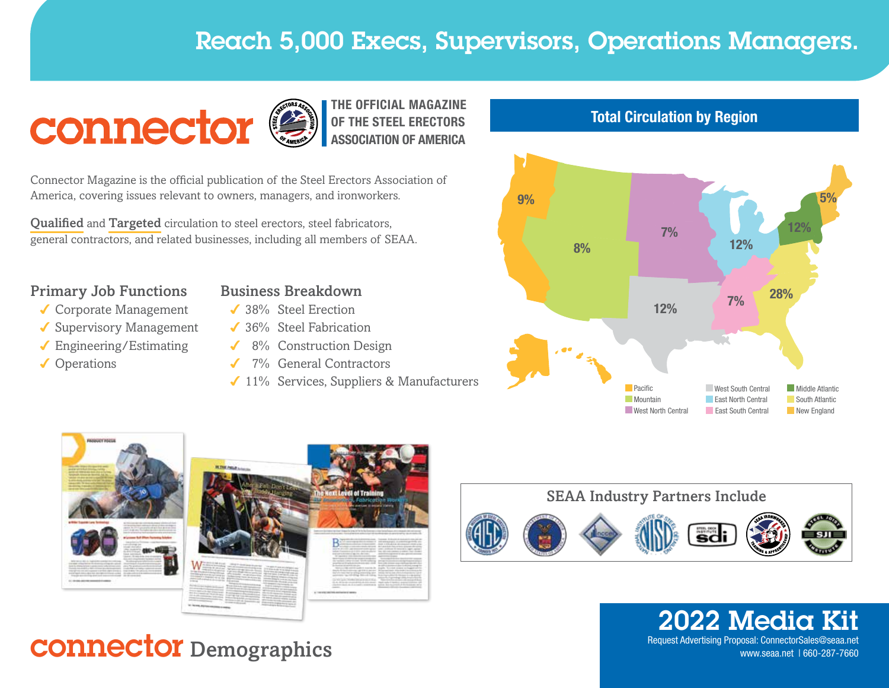# Reach 5,000 Execs, Supervisors, Operations Managers.



THE OFFICIAL MAGAZINE OF THE STEEL ERECTORS ASSOCIATION OF AMERICA

Connector Magazine is the official publication of the Steel Erectors Association of America, covering issues relevant to owners, managers, and ironworkers.

Qualified and Targeted circulation to steel erectors, steel fabricators, general contractors, and related businesses, including all members of SEAA.

### Primary Job Functions

- ◆ Corporate Management
- ✔ Supervisory Management
- Engineering/Estimating
- ✔ Operations



- ◆ 38% Steel Erection
- ◆ 36% Steel Fabrication
- 8% Construction Design
- ◆ 7% General Contractors
- ◆ 11% Services, Suppliers & Manufacturers











**2022 Media Kit**<br>Request Advertising Proposal: ConnectorSales@seaa.net

# Request Advertising Proposal: ConnectorSales@seaa.net connectorSales@seaa.net connector Sales@seaa.net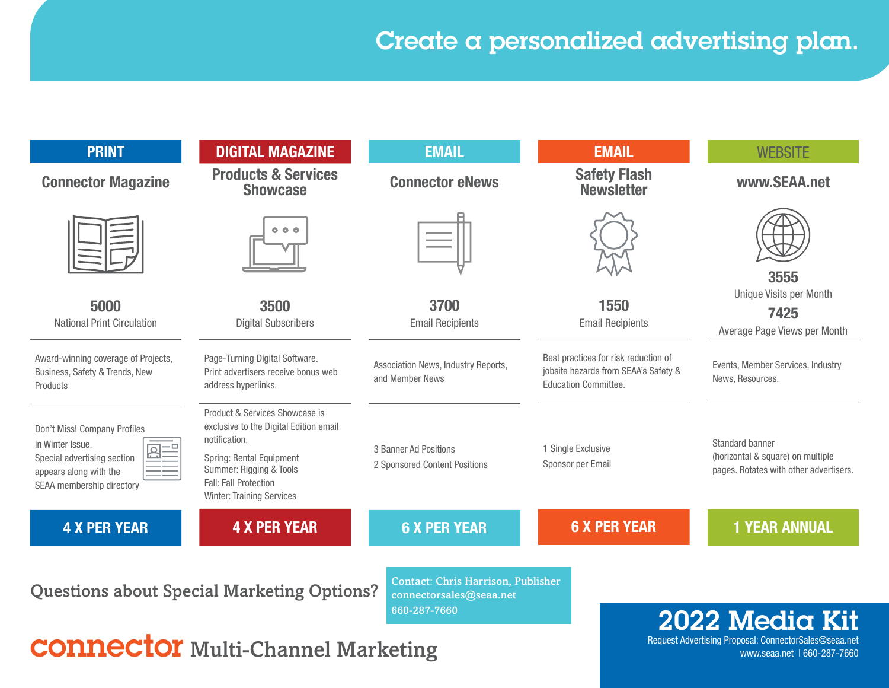## Create a personalized advertising plan.

| <b>PRINT</b>                                                                                                                           | <b>DIGITAL MAGAZINE</b>                                                                                                                                                                                       | <b>EMAIL</b>                                                                         | <b>EMAIL</b>                                                                                         | <b>WEBSITE</b>                                                                                 |
|----------------------------------------------------------------------------------------------------------------------------------------|---------------------------------------------------------------------------------------------------------------------------------------------------------------------------------------------------------------|--------------------------------------------------------------------------------------|------------------------------------------------------------------------------------------------------|------------------------------------------------------------------------------------------------|
| <b>Connector Magazine</b>                                                                                                              | <b>Products &amp; Services</b><br><b>Showcase</b>                                                                                                                                                             | <b>Connector eNews</b>                                                               | <b>Safety Flash</b><br><b>Newsletter</b>                                                             | www.SEAA.net                                                                                   |
|                                                                                                                                        | 000                                                                                                                                                                                                           |                                                                                      |                                                                                                      | 3555                                                                                           |
| 5000<br><b>National Print Circulation</b>                                                                                              | 3500<br><b>Digital Subscribers</b>                                                                                                                                                                            | 3700<br><b>Email Recipients</b>                                                      | 1550<br><b>Email Recipients</b>                                                                      | Unique Visits per Month<br>7425<br>Average Page Views per Month                                |
| Award-winning coverage of Projects,<br>Business, Safety & Trends, New<br>Products                                                      | Page-Turning Digital Software.<br>Print advertisers receive bonus web<br>address hyperlinks.                                                                                                                  | Association News, Industry Reports,<br>and Member News                               | Best practices for risk reduction of<br>jobsite hazards from SEAA's Safety &<br>Education Committee. | Events, Member Services, Industry<br>News, Resources.                                          |
| Don't Miss! Company Profiles<br>in Winter Issue.<br>Special advertising section<br>appears along with the<br>SEAA membership directory | Product & Services Showcase is<br>exclusive to the Digital Edition email<br>notification.<br>Spring: Rental Equipment<br>Summer: Rigging & Tools<br>Fall: Fall Protection<br><b>Winter: Training Services</b> | 3 Banner Ad Positions<br>2 Sponsored Content Positions                               | 1 Single Exclusive<br>Sponsor per Email                                                              | Standard banner<br>(horizontal & square) on multiple<br>pages. Rotates with other advertisers. |
| <b>4 X PER YEAR</b>                                                                                                                    | <b>4 X PER YEAR</b>                                                                                                                                                                                           | <b>6 X PER YEAR</b>                                                                  | <b>6 X PER YEAR</b>                                                                                  | <b>1 YEAR ANNUAL</b>                                                                           |
|                                                                                                                                        | <b>Questions about Special Marketing Options?</b>                                                                                                                                                             | <b>Contact: Chris Harrison, Publisher</b><br>connectorsales@seaa.net<br>660-287-7660 |                                                                                                      | 2022 Media Kit                                                                                 |
| $\mathbf{A}$ <b>NIQATAV</b> 1.1.                                                                                                       |                                                                                                                                                                                                               |                                                                                      |                                                                                                      | Request Advertising Proposal: ConnectorSales@seaa.net                                          |

CONNECTOI Multi-Channel Marketing www.seaa.net 1660-287-7660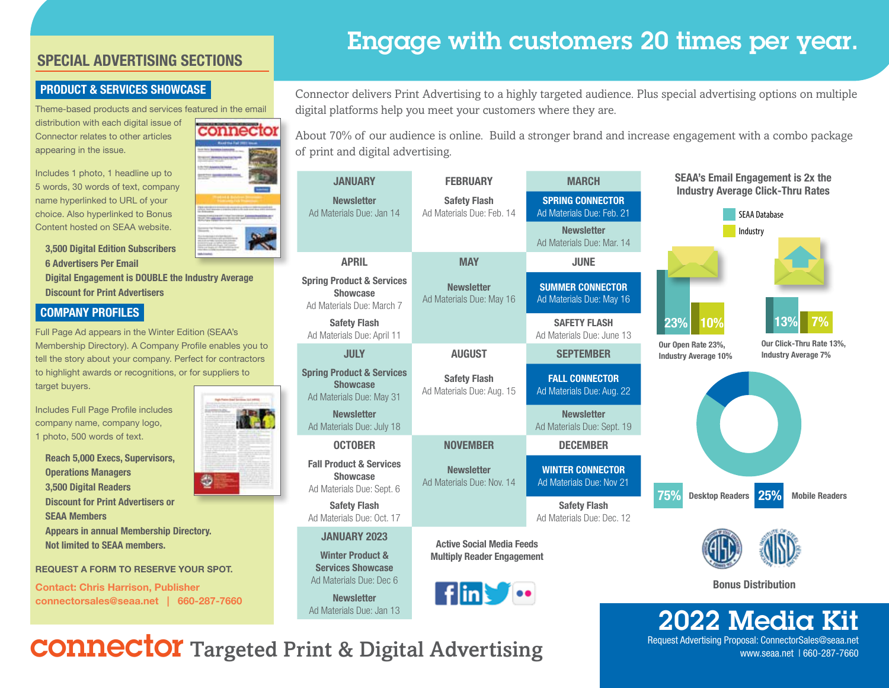### SPECIAL ADVERTISING SECTIONS

#### PRODUCT & SERVICES SHOWCASE

Theme-based products and services featured in the email distribution with each digital issue of Connector relates to other articles appearing in the issue.

Includes 1 photo, 1 headline up to 5 words, 30 words of text, company name hyperlinked to URL of your choice. Also hyperlinked to Bonus Content hosted on SEAA website.

3,500 Digital Edition Subscribers 6 Advertisers Per Email Digital Engagement is DOUBLE the Industry Average Discount for Print Advertisers

#### COMPANY PROFILES

Full Page Ad appears in the Winter Edition (SEAA's Membership Directory). A Company Profile enables you to tell the story about your company. Perfect for contractors to highlight awards or recognitions, or for suppliers to target buyers.

Includes Full Page Profile includes company name, company logo, 1 photo, 500 words of text.

Reach 5,000 Execs, Supervisors, Operations Managers 3,500 Digital Readers Discount for Print Advertisers or SEAA Members Appears in annual Membership Directory. Not limited to SEAA members.

REQUEST A FORM TO RESERVE YOUR SPOT.

Contact: Chris Harrison, Publisher connectorsales@seaa.net | 660-287-7660



## Engage with customers 20 times per year.

Connector delivers Print Advertising to a highly targeted audience. Plus special advertising options on multiple digital platforms help you meet your customers where they are.

About 70% of our audience is online. Build a stronger brand and increase engagement with a combo package of print and digital advertising.

| <b>JANUARY</b>                                                                       | <b>FEBRUARY</b>                                  | <b>MARCH</b>                                         |                                                   | <b>SEAA's Email Engagement is 2x the</b>                         |
|--------------------------------------------------------------------------------------|--------------------------------------------------|------------------------------------------------------|---------------------------------------------------|------------------------------------------------------------------|
| <b>Newsletter</b><br>Ad Materials Due: Jan 14                                        | <b>Safety Flash</b><br>Ad Materials Due: Feb. 14 | <b>SPRING CONNECTOR</b><br>Ad Materials Due: Feb. 21 |                                                   | <b>Industry Average Click-Thru Rates</b><br><b>SEAA Database</b> |
|                                                                                      |                                                  | <b>Newsletter</b><br>Ad Materials Due: Mar. 14       |                                                   | Industry                                                         |
| <b>APRIL</b>                                                                         | <b>MAY</b>                                       | <b>JUNE</b>                                          |                                                   |                                                                  |
| <b>Spring Product &amp; Services</b><br><b>Showcase</b><br>Ad Materials Due: March 7 | <b>Newsletter</b><br>Ad Materials Due: May 16    | <b>SUMMER CONNECTOR</b><br>Ad Materials Due: May 16  |                                                   |                                                                  |
| <b>Safety Flash</b><br>Ad Materials Due: April 11                                    |                                                  | <b>SAFETY FLASH</b><br>Ad Materials Due: June 13     | 23%<br>10%                                        | 13%                                                              |
| <b>JULY</b>                                                                          | <b>AUGUST</b>                                    | <b>SEPTEMBER</b>                                     | Our Open Rate 23%,<br><b>Industry Average 10%</b> | Our Click-Thru Rate 13%,<br><b>Industry Average 7%</b>           |
| <b>Spring Product &amp; Services</b><br><b>Showcase</b><br>Ad Materials Due: May 31  | <b>Safety Flash</b><br>Ad Materials Due: Aug. 15 | <b>FALL CONNECTOR</b><br>Ad Materials Due: Aug. 22   |                                                   |                                                                  |
| <b>Newsletter</b><br>Ad Materials Due: July 18                                       |                                                  | <b>Newsletter</b><br>Ad Materials Due: Sept. 19      |                                                   |                                                                  |
| <b>OCTOBER</b>                                                                       | <b>NOVEMBER</b>                                  | <b>DECEMBER</b>                                      |                                                   |                                                                  |
| <b>Fall Product &amp; Services</b><br><b>Showcase</b><br>Ad Materials Due: Sept. 6   | <b>Newsletter</b><br>Ad Materials Due: Nov. 14   | <b>WINTER CONNECTOR</b><br>Ad Materials Due: Nov 21  | 75%<br><b>Desktop Readers</b>                     | 25%<br><b>Mobile Readers</b>                                     |
| <b>Safety Flash</b><br>Ad Materials Due: Oct. 17                                     |                                                  | <b>Safety Flash</b><br>Ad Materials Due: Dec. 12     |                                                   |                                                                  |
| <b>JANUARY 2023</b>                                                                  | <b>Active Social Media Feeds</b>                 |                                                      |                                                   |                                                                  |
| <b>Winter Product &amp;</b><br><b>Services Showcase</b>                              | <b>Multiply Reader Engagement</b>                |                                                      |                                                   |                                                                  |
| Ad Materials Due: Dec 6                                                              |                                                  |                                                      |                                                   | <b>Bonus Distribution</b>                                        |
| <b>Newsletter</b><br>Ad Materials Due: Jan 13                                        | $\n  film\n  For\n$                              |                                                      |                                                   |                                                                  |
|                                                                                      |                                                  |                                                      |                                                   | 2022 Media Kit                                                   |

Request Advertising Proposal: ConnectorSales@seaa.net

www.seaa.net | 660-287-7660

# connector Targeted Print & Digital Advertising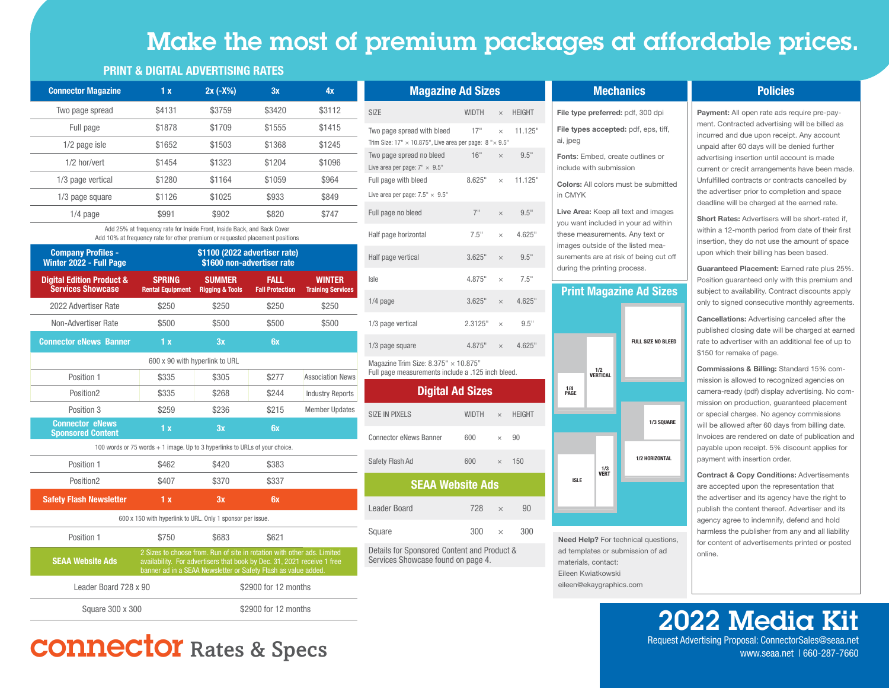## Make the most of premium packages at affordable prices.

#### PRINT & DIGITAL ADVERTISING RATES

| <b>Connector Magazine</b> | 1x     | $2x (-X%)$ | 3x     | 4x     |
|---------------------------|--------|------------|--------|--------|
| Two page spread           | \$4131 | \$3759     | \$3420 | \$3112 |
| Full page                 | \$1878 | \$1709     | \$1555 | \$1415 |
| 1/2 page isle             | \$1652 | \$1503     | \$1368 | \$1245 |
| 1/2 hor/vert              | \$1454 | \$1323     | \$1204 | \$1096 |
| 1/3 page vertical         | \$1280 | \$1164     | \$1059 | \$964  |
| 1/3 page square           | \$1126 | \$1025     | \$933  | \$849  |
| $1/4$ page                | \$991  | \$902      | \$820  | \$747  |

 Add 25% at frequency rate for Inside Front, Inside Back, and Back Cover Add 10% at frequency rate for other premium or requested placement positions

| <b>Company Profiles -</b><br>Winter 2022 - Full Page             |                                                                             | \$1100 (2022 advertiser rate)               | \$1600 non-advertiser rate            |                                           |
|------------------------------------------------------------------|-----------------------------------------------------------------------------|---------------------------------------------|---------------------------------------|-------------------------------------------|
| <b>Digital Edition Product &amp;</b><br><b>Services Showcase</b> | <b>SPRING</b><br><b>Rental Equipment</b>                                    | <b>SUMMER</b><br><b>Rigging &amp; Tools</b> | <b>FALL</b><br><b>Fall Protection</b> | <b>WINTER</b><br><b>Training Services</b> |
| 2022 Advertiser Rate                                             | \$250                                                                       | \$250                                       | \$250                                 | \$250                                     |
| Non-Advertiser Rate                                              | \$500                                                                       | \$500                                       | \$500                                 | \$500                                     |
| <b>Connector eNews Banner</b>                                    | 1x                                                                          | 3x                                          | 6x                                    |                                           |
|                                                                  | 600 x 90 with hyperlink to URL                                              |                                             |                                       |                                           |
| Position 1                                                       | \$335                                                                       | \$305                                       | \$277                                 | <b>Association News</b>                   |
| Position <sub>2</sub>                                            | \$335                                                                       | \$268                                       | \$244                                 | <b>Industry Reports</b>                   |
| Position 3                                                       | \$259                                                                       | \$236                                       | \$215                                 | <b>Member Updates</b>                     |
| <b>Connector eNews</b><br><b>Sponsored Content</b>               | 1 <sub>x</sub>                                                              | 3x                                          | 6x                                    |                                           |
|                                                                  | 100 words or 75 words + 1 image. Up to 3 hyperlinks to URLs of your choice. |                                             |                                       |                                           |
| Position 1                                                       | \$462                                                                       | \$420                                       | \$383                                 |                                           |
| Position <sub>2</sub>                                            | \$407                                                                       | \$370                                       | \$337                                 |                                           |
| <b>Safety Flash Newsletter</b>                                   | 1x                                                                          | 3x                                          | 6x                                    |                                           |
|                                                                  | 600 x 150 with hyperlink to URL. Only 1 sponsor per issue.                  |                                             |                                       |                                           |
| Position 1                                                       | \$750                                                                       | \$683                                       | \$621                                 |                                           |

| i vəitivil i            | 01.00 | <b>UUUU</b> | UUZ I                                                                                                                                                                                                                |  |
|-------------------------|-------|-------------|----------------------------------------------------------------------------------------------------------------------------------------------------------------------------------------------------------------------|--|
| <b>SEAA Website Ads</b> |       |             | 2 Sizes to choose from. Run of site in rotation with other ads. Limited<br>availability. For advertisers that book by Dec. 31, 2021 receive 1 free<br>banner ad in a SEAA Newsletter or Safety Flash as value added. |  |
| Leader Board 728 x 90   |       |             | \$2900 for 12 months                                                                                                                                                                                                 |  |
| Square 300 x 300        |       |             | \$2900 for 12 months                                                                                                                                                                                                 |  |

# Request Advertising Proposal: ConnectorSales@seaa.net | 660-287-7660<br>www.seaa.net | 660-287-7660

| <b>SIZE</b><br>WIDTH<br><b>HEIGHT</b><br>$\times$<br>11.125"<br>Two page spread with bleed<br>17"<br>$\times$<br>Trim Size: $17" \times 10.875"$ , Live area per page: $8" \times 9.5"$<br>16"<br>Two page spread no bleed<br>$\times$ 9.5"<br>Live area per page: $7'' \times 9.5''$<br>11.125"<br>8.625"<br>Full page with bleed<br>$\times$<br>Live area per page: $7.5" \times 9.5"$<br>7"<br>9.5"<br>Full page no bleed<br>$\times$<br>7.5"<br>4.625"<br>Half page horizontal<br>$\times$<br>Half page vertical<br>3.625"<br>9.5"<br>$\times$<br>7.5"<br>Isle<br>4.875"<br>$\times$<br>3.625"<br>4.625"<br>$1/4$ page<br>$\times$ | <b>Magazine Ad Sizes</b> |  |  |
|----------------------------------------------------------------------------------------------------------------------------------------------------------------------------------------------------------------------------------------------------------------------------------------------------------------------------------------------------------------------------------------------------------------------------------------------------------------------------------------------------------------------------------------------------------------------------------------------------------------------------------------|--------------------------|--|--|
|                                                                                                                                                                                                                                                                                                                                                                                                                                                                                                                                                                                                                                        |                          |  |  |
|                                                                                                                                                                                                                                                                                                                                                                                                                                                                                                                                                                                                                                        |                          |  |  |
|                                                                                                                                                                                                                                                                                                                                                                                                                                                                                                                                                                                                                                        |                          |  |  |
|                                                                                                                                                                                                                                                                                                                                                                                                                                                                                                                                                                                                                                        |                          |  |  |
|                                                                                                                                                                                                                                                                                                                                                                                                                                                                                                                                                                                                                                        |                          |  |  |
|                                                                                                                                                                                                                                                                                                                                                                                                                                                                                                                                                                                                                                        |                          |  |  |
|                                                                                                                                                                                                                                                                                                                                                                                                                                                                                                                                                                                                                                        |                          |  |  |
|                                                                                                                                                                                                                                                                                                                                                                                                                                                                                                                                                                                                                                        |                          |  |  |
|                                                                                                                                                                                                                                                                                                                                                                                                                                                                                                                                                                                                                                        |                          |  |  |
| 2.3125"<br>9.5"<br>1/3 page vertical<br>$\times$                                                                                                                                                                                                                                                                                                                                                                                                                                                                                                                                                                                       |                          |  |  |
| 4.625"<br>4.875"<br>1/3 page square<br>$\times$                                                                                                                                                                                                                                                                                                                                                                                                                                                                                                                                                                                        |                          |  |  |

Magazine Trim Size:  $8.375'' \times 10.875''$ Full page measurements include a .125 inch bleed.

#### Digital Ad Sizes

| <b>SIZE IN PIXELS</b>         | WIDTH $\times$ |          | <b>HEIGHT</b> |  |
|-------------------------------|----------------|----------|---------------|--|
| <b>Connector eNews Banner</b> | 600            | $\times$ | 90            |  |
| Safety Flash Ad               | 600            | $\times$ | 150           |  |
| <b>SEAA Website Ads</b>       |                |          |               |  |
|                               |                |          |               |  |
| Leader Board                  | 728            | $\times$ | 90            |  |

Details for Sponsored Content and Product & Services Showcase found on page 4.

#### **Mechanics** File type preferred: pdf, 300 dpi File types accepted: pdf, eps, tiff, ai, jpeg Fonts: Embed, create outlines or include with submission Colors: All colors must be submitted in CMYK Live Area: Keep all text and images you want included in your ad within these measurements. Any text or images outside of the listed mea-

## Print Magazine Ad Sizes

surements are at risk of being cut off during the printing process.



Need Help? For technical questions, ad templates or submission of ad materials, contact: Eileen Kwiatkowski eileen@ekaygraphics.com

#### Policies

Payment: All open rate ads require pre-payment. Contracted advertising will be billed as incurred and due upon receipt. Any account unpaid after 60 days will be denied further advertising insertion until account is made current or credit arrangements have been made. Unfulfilled contracts or contracts cancelled by the advertiser prior to completion and space deadline will be charged at the earned rate.

Short Rates: Advertisers will be short-rated if, within a 12-month period from date of their first insertion, they do not use the amount of space upon which their billing has been based.

Guaranteed Placement: Earned rate plus 25%. Position guaranteed only with this premium and subject to availability. Contract discounts apply only to signed consecutive monthly agreements.

Cancellations: Advertising canceled after the published closing date will be charged at earned rate to advertiser with an additional fee of up to \$150 for remake of page.

Commissions & Billing: Standard 15% commission is allowed to recognized agencies on camera-ready (pdf) display advertising. No commission on production, guaranteed placement or special charges. No agency commissions will be allowed after 60 days from billing date. Invoices are rendered on date of publication and payable upon receipt. 5% discount applies for payment with insertion order.

Contract & Copy Conditions: Advertisements are accepted upon the representation that the advertiser and its agency have the right to publish the content thereof. Advertiser and its agency agree to indemnify, defend and hold harmless the publisher from any and all liability for content of advertisements printed or posted online.

**2022 Media Kit**<br>Request Advertising Proposal: ConnectorSales@seaa.net